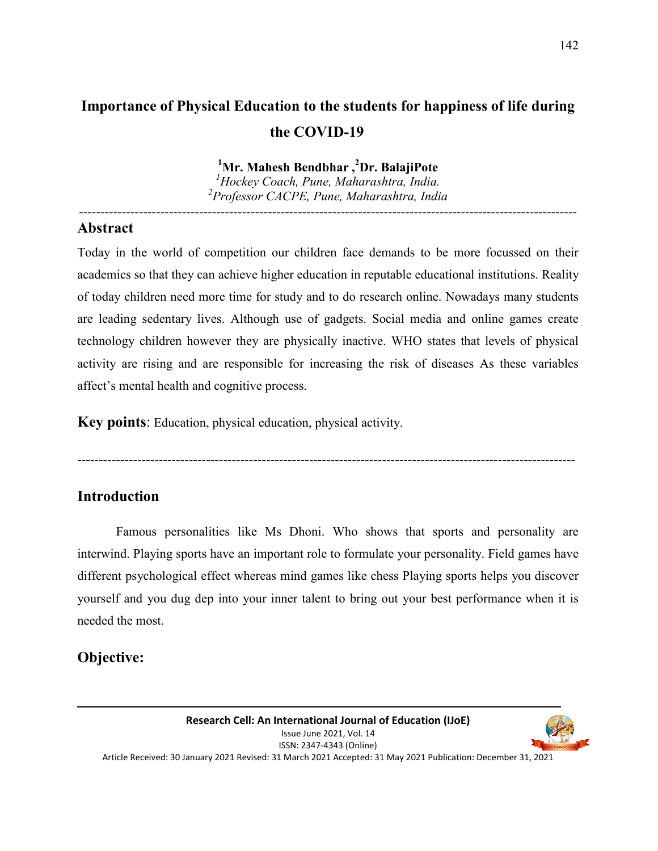# **Importance of Physical Education to the students for happiness of life during the COVID-19**

**<sup>1</sup>Mr. Mahesh Bendbhar ,<sup>2</sup>Dr. BalajiPote** 

*<sup>1</sup>Hockey Coach, Pune, Maharashtra, India. 2 Professor CACPE, Pune, Maharashtra, India* 

*--------------------------------------------------------------------------------------------------------------------* 

#### **Abstract**

Today in the world of competition our children face demands to be more focussed on their academics so that they can achieve higher education in reputable educational institutions. Reality of today children need more time for study and to do research online. Nowadays many students are leading sedentary lives. Although use of gadgets. Social media and online games create technology children however they are physically inactive. WHO states that levels of physical activity are rising and are responsible for increasing the risk of diseases As these variables affect's mental health and cognitive process.

**Key points**: Education, physical education, physical activity.

--------------------------------------------------------------------------------------------------------------------

## **Introduction**

 Famous personalities like Ms Dhoni. Who shows that sports and personality are interwind. Playing sports have an important role to formulate your personality. Field games have different psychological effect whereas mind games like chess Playing sports helps you discover yourself and you dug dep into your inner talent to bring out your best performance when it is needed the most.

# **Objective:**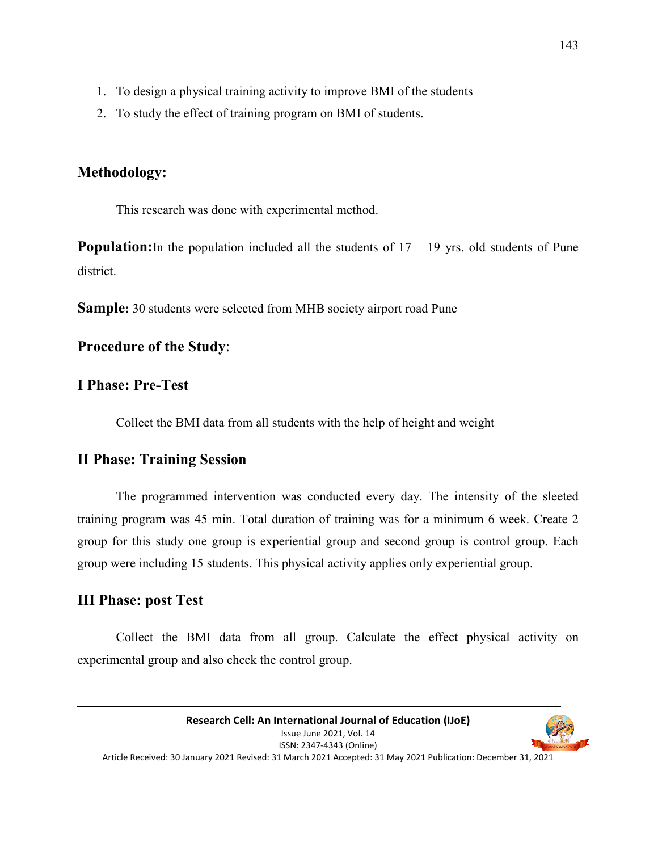- 1. To design a physical training activity to improve BMI of the students
- 2. To study the effect of training program on BMI of students.

## **Methodology:**

This research was done with experimental method.

**Population:** In the population included all the students of  $17 - 19$  yrs. old students of Pune district.

**Sample:** 30 students were selected from MHB society airport road Pune

#### **Procedure of the Study**:

#### **I Phase: Pre-Test**

Collect the BMI data from all students with the help of height and weight

## **II Phase: Training Session**

 The programmed intervention was conducted every day. The intensity of the sleeted training program was 45 min. Total duration of training was for a minimum 6 week. Create 2 group for this study one group is experiential group and second group is control group. Each group were including 15 students. This physical activity applies only experiential group.

#### **III Phase: post Test**

 Collect the BMI data from all group. Calculate the effect physical activity on experimental group and also check the control group.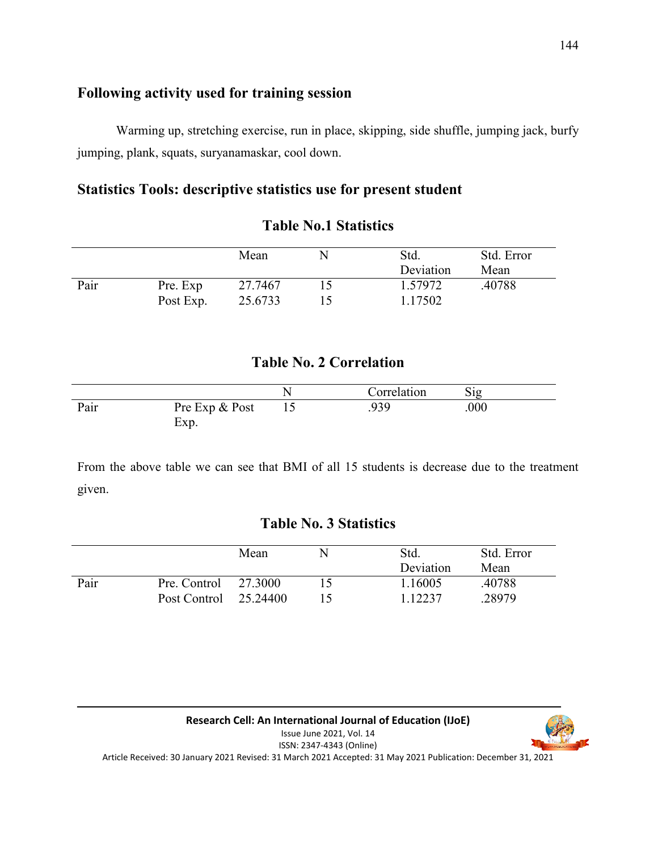#### **Following activity used for training session**

 Warming up, stretching exercise, run in place, skipping, side shuffle, jumping jack, burfy jumping, plank, squats, suryanamaskar, cool down.

### **Statistics Tools: descriptive statistics use for present student**

|      |           | Mean    | Std.<br>Deviation | Std. Error<br>Mean |
|------|-----------|---------|-------------------|--------------------|
| Pair | Pre. Exp  | 27.7467 | 1.57972           | .40788             |
|      | Post Exp. | 25.6733 | 1.17502           |                    |

#### **Table No.1 Statistics**

# **Table No. 2 Correlation**

|      |                        | Correlation | 512  |  |
|------|------------------------|-------------|------|--|
| Pair | Pre Exp & Post<br>Exp. | .939        | .000 |  |

From the above table we can see that BMI of all 15 students is decrease due to the treatment given.

## **Table No. 3 Statistics**

|      |                                                   | Mean | Std.<br>Deviation  | Std. Error<br>Mean |
|------|---------------------------------------------------|------|--------------------|--------------------|
| Pair | Pre. Control $27.3000$<br>Post Control $25.24400$ |      | 1.16005<br>1.12237 | .40788<br>.28979   |